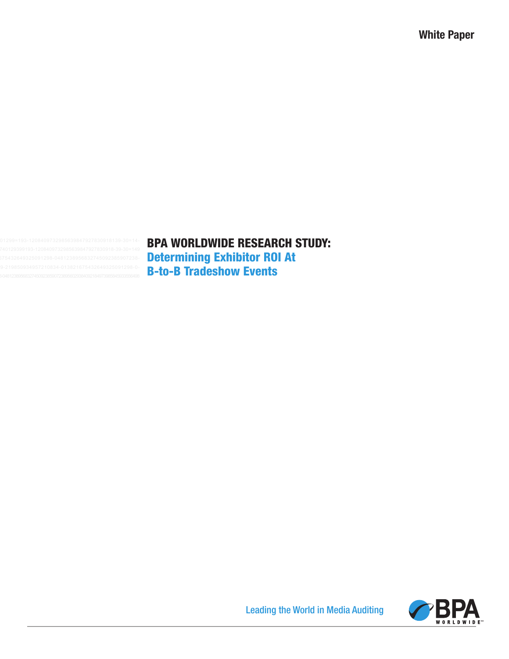# BPA WORLDWIDE RESEARCH STUDY: Determining Exhibitor ROI At B-to-B Tradeshow Events



Leading the World in Media Auditing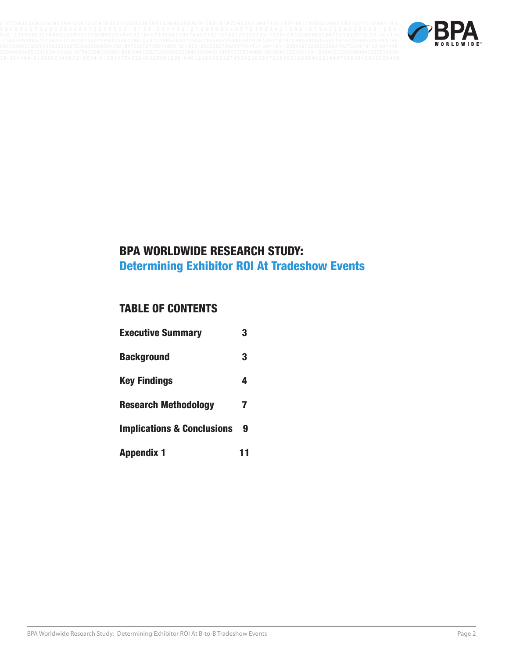

# BPA WORLDWIDE RESEARCH STUDY: Determining Exhibitor ROI At Tradeshow Events

# TABLE OF CONTENTS

| <b>Executive Summary</b>              | 3 |
|---------------------------------------|---|
| <b>Background</b>                     | 3 |
| <b>Key Findings</b>                   | 4 |
| <b>Research Methodology</b>           | 7 |
| <b>Implications &amp; Conclusions</b> | 9 |
| <b>Appendix 1</b>                     |   |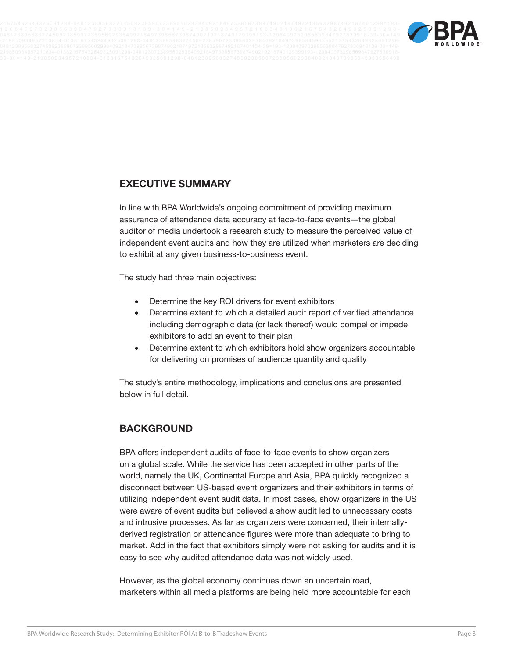



## **EXECUTIVE SUMMARY**

In line with BPA Worldwide's ongoing commitment of providing maximum assurance of attendance data accuracy at face-to-face events—the global auditor of media undertook a research study to measure the perceived value of independent event audits and how they are utilized when marketers are deciding to exhibit at any given business-to-business event.

The study had three main objectives:

- Determine the key ROI drivers for event exhibitors
- Determine extent to which a detailed audit report of verified attendance including demographic data (or lack thereof) would compel or impede exhibitors to add an event to their plan
- Determine extent to which exhibitors hold show organizers accountable for delivering on promises of audience quantity and quality

The study's entire methodology, implications and conclusions are presented below in full detail.

## **BACKGROUND**

BPA offers independent audits of face-to-face events to show organizers on a global scale. While the service has been accepted in other parts of the world, namely the UK, Continental Europe and Asia, BPA quickly recognized a disconnect between US-based event organizers and their exhibitors in terms of utilizing independent event audit data. In most cases, show organizers in the US were aware of event audits but believed a show audit led to unnecessary costs and intrusive processes. As far as organizers were concerned, their internallyderived registration or attendance figures were more than adequate to bring to market. Add in the fact that exhibitors simply were not asking for audits and it is easy to see why audited attendance data was not widely used.

However, as the global economy continues down an uncertain road, marketers within all media platforms are being held more accountable for each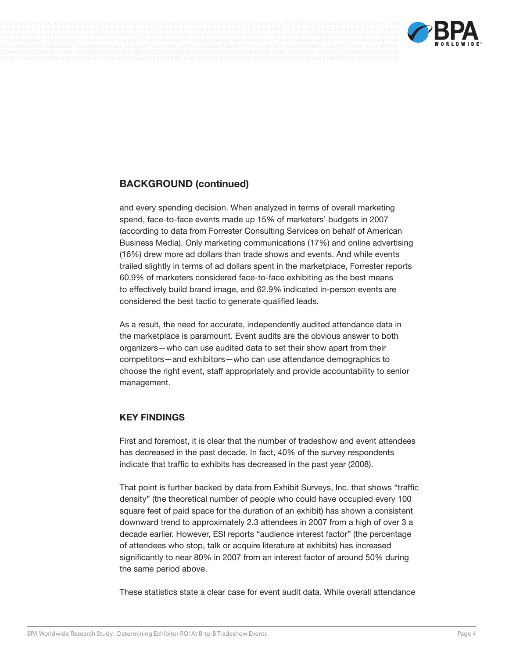

## **BACKGROUND (continued)**

and every spending decision. When analyzed in terms of overall marketing spend, face-to-face events made up 15% of marketers' budgets in 2007 (according to data from Forrester Consulting Services on behalf of American Business Media). Only marketing communications (17%) and online advertising (16%) drew more ad dollars than trade shows and events. And while events trailed slightly in terms of ad dollars spent in the marketplace, Forrester reports 60.9% of marketers considered face-to-face exhibiting as the best means to effectively build brand image, and 62.9% indicated in-person events are considered the best tactic to generate qualified leads.

As a result, the need for accurate, independently audited attendance data in the marketplace is paramount. Event audits are the obvious answer to both organizers—who can use audited data to set their show apart from their competitors—and exhibitors—who can use attendance demographics to choose the right event, staff appropriately and provide accountability to senior management.

### **KEY FINDINGS**

First and foremost, it is clear that the number of tradeshow and event attendees has decreased in the past decade. In fact, 40% of the survey respondents indicate that traffic to exhibits has decreased in the past year (2008).

That point is further backed by data from Exhibit Surveys, Inc. that shows "traffic density" (the theoretical number of people who could have occupied every 100 square feet of paid space for the duration of an exhibit) has shown a consistent downward trend to approximately 2.3 attendees in 2007 from a high of over 3 a decade earlier. However, ESI reports "audience interest factor" (the percentage of attendees who stop, talk or acquire literature at exhibits) has increased significantly to near 80% in 2007 from an interest factor of around 50% during the same period above.

These statistics state a clear case for event audit data. While overall attendance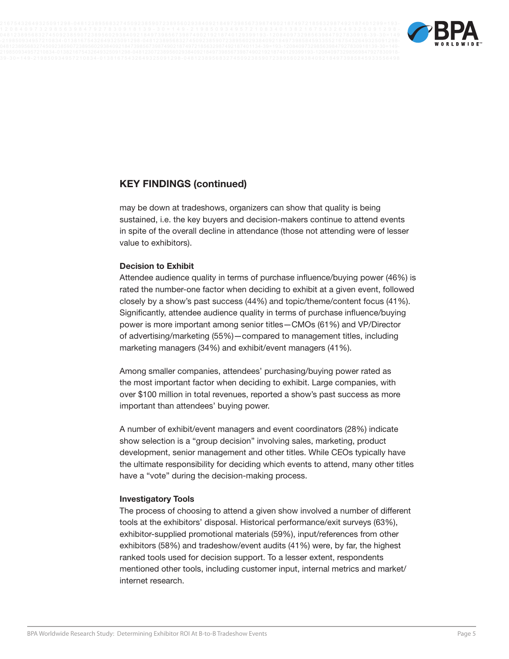



may be down at tradeshows, organizers can show that quality is being sustained, i.e. the key buyers and decision-makers continue to attend events in spite of the overall decline in attendance (those not attending were of lesser value to exhibitors).

#### **Decision to Exhibit**

Attendee audience quality in terms of purchase influence/buying power (46%) is rated the number-one factor when deciding to exhibit at a given event, followed closely by a show's past success (44%) and topic/theme/content focus (41%). Significantly, attendee audience quality in terms of purchase influence/buying power is more important among senior titles—CMOs (61%) and VP/Director of advertising/marketing (55%)—compared to management titles, including marketing managers (34%) and exhibit/event managers (41%).

Among smaller companies, attendees' purchasing/buying power rated as the most important factor when deciding to exhibit. Large companies, with over \$100 million in total revenues, reported a show's past success as more important than attendees' buying power.

A number of exhibit/event managers and event coordinators (28%) indicate show selection is a "group decision" involving sales, marketing, product development, senior management and other titles. While CEOs typically have the ultimate responsibility for deciding which events to attend, many other titles have a "vote" during the decision-making process.

#### **Investigatory Tools**

The process of choosing to attend a given show involved a number of different tools at the exhibitors' disposal. Historical performance/exit surveys (63%), exhibitor-supplied promotional materials (59%), input/references from other exhibitors (58%) and tradeshow/event audits (41%) were, by far, the highest ranked tools used for decision support. To a lesser extent, respondents mentioned other tools, including customer input, internal metrics and market/ internet research.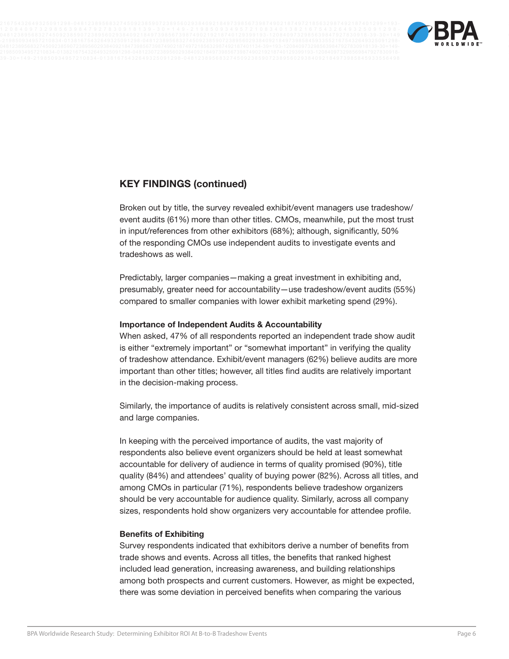



Broken out by title, the survey revealed exhibit/event managers use tradeshow/ event audits (61%) more than other titles. CMOs, meanwhile, put the most trust in input/references from other exhibitors (68%); although, significantly, 50% of the responding CMOs use independent audits to investigate events and tradeshows as well.

Predictably, larger companies—making a great investment in exhibiting and, presumably, greater need for accountability—use tradeshow/event audits (55%) compared to smaller companies with lower exhibit marketing spend (29%).

#### **Importance of Independent Audits & Accountability**

When asked, 47% of all respondents reported an independent trade show audit is either "extremely important" or "somewhat important" in verifying the quality of tradeshow attendance. Exhibit/event managers (62%) believe audits are more important than other titles; however, all titles find audits are relatively important in the decision-making process.

Similarly, the importance of audits is relatively consistent across small, mid-sized and large companies.

In keeping with the perceived importance of audits, the vast majority of respondents also believe event organizers should be held at least somewhat accountable for delivery of audience in terms of quality promised (90%), title quality (84%) and attendees' quality of buying power (82%). Across all titles, and among CMOs in particular (71%), respondents believe tradeshow organizers should be very accountable for audience quality. Similarly, across all company sizes, respondents hold show organizers very accountable for attendee profile.

#### **Benefits of Exhibiting**

Survey respondents indicated that exhibitors derive a number of benefits from trade shows and events. Across all titles, the benefits that ranked highest included lead generation, increasing awareness, and building relationships among both prospects and current customers. However, as might be expected, there was some deviation in perceived benefits when comparing the various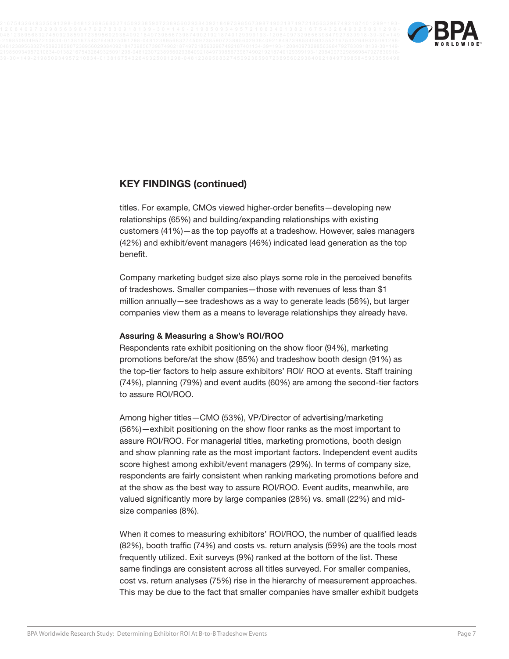

titles. For example, CMOs viewed higher-order benefits—developing new relationships (65%) and building/expanding relationships with existing customers (41%)—as the top payoffs at a tradeshow. However, sales managers (42%) and exhibit/event managers (46%) indicated lead generation as the top benefit.

Company marketing budget size also plays some role in the perceived benefits of tradeshows. Smaller companies—those with revenues of less than \$1 million annually—see tradeshows as a way to generate leads (56%), but larger companies view them as a means to leverage relationships they already have.

#### **Assuring & Measuring a Show's ROI/ROO**

Respondents rate exhibit positioning on the show floor (94%), marketing promotions before/at the show (85%) and tradeshow booth design (91%) as the top-tier factors to help assure exhibitors' ROI/ ROO at events. Staff training (74%), planning (79%) and event audits (60%) are among the second-tier factors to assure ROI/ROO.

Among higher titles—CMO (53%), VP/Director of advertising/marketing (56%)—exhibit positioning on the show floor ranks as the most important to assure ROI/ROO. For managerial titles, marketing promotions, booth design and show planning rate as the most important factors. Independent event audits score highest among exhibit/event managers (29%). In terms of company size, respondents are fairly consistent when ranking marketing promotions before and at the show as the best way to assure ROI/ROO. Event audits, meanwhile, are valued significantly more by large companies (28%) vs. small (22%) and midsize companies (8%).

When it comes to measuring exhibitors' ROI/ROO, the number of qualified leads (82%), booth traffic (74%) and costs vs. return analysis (59%) are the tools most frequently utilized. Exit surveys (9%) ranked at the bottom of the list. These same findings are consistent across all titles surveyed. For smaller companies, cost vs. return analyses (75%) rise in the hierarchy of measurement approaches. This may be due to the fact that smaller companies have smaller exhibit budgets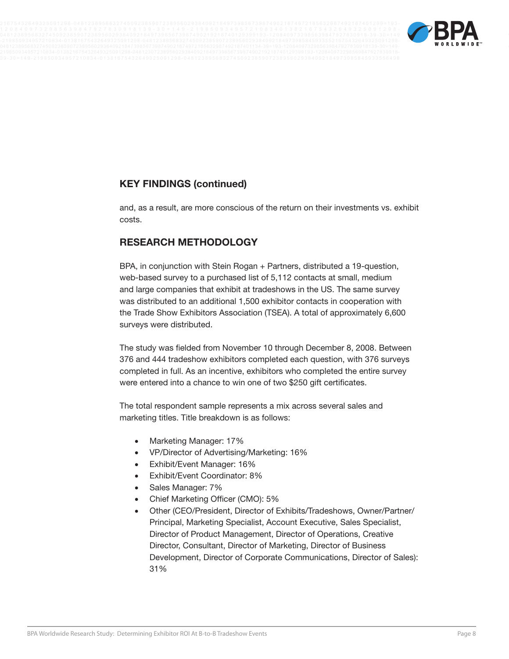



and, as a result, are more conscious of the return on their investments vs. exhibit costs.

## **RESEARCH METHODOLOGY**

BPA, in conjunction with Stein Rogan + Partners, distributed a 19-question, web-based survey to a purchased list of 5,112 contacts at small, medium and large companies that exhibit at tradeshows in the US. The same survey was distributed to an additional 1,500 exhibitor contacts in cooperation with the Trade Show Exhibitors Association (TSEA). A total of approximately 6,600 surveys were distributed.

The study was fielded from November 10 through December 8, 2008. Between 376 and 444 tradeshow exhibitors completed each question, with 376 surveys completed in full. As an incentive, exhibitors who completed the entire survey were entered into a chance to win one of two \$250 gift certificates.

The total respondent sample represents a mix across several sales and marketing titles. Title breakdown is as follows:

- Marketing Manager: 17%
- • VP/Director of Advertising/Marketing: 16%
- Exhibit/Event Manager: 16%
- • Exhibit/Event Coordinator: 8%
- Sales Manager: 7%
- Chief Marketing Officer (CMO): 5%
- Other (CEO/President, Director of Exhibits/Tradeshows, Owner/Partner/ Principal, Marketing Specialist, Account Executive, Sales Specialist, Director of Product Management, Director of Operations, Creative Director, Consultant, Director of Marketing, Director of Business Development, Director of Corporate Communications, Director of Sales): 31%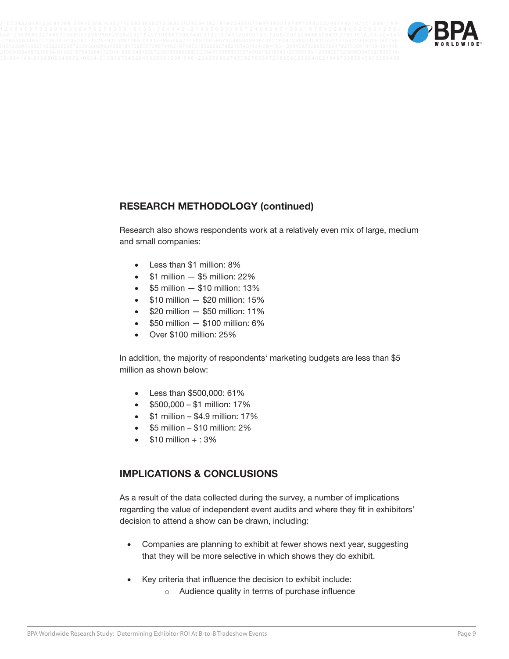

## **RESEARCH METHODOLOGY (continued)**

Research also shows respondents work at a relatively even mix of large, medium and small companies:

- • Less than \$1 million: 8%
- $$1$  million  $-$  \$5 million: 22%
- $\bullet$  \$5 million  $-$  \$10 million: 13%
- $\bullet$  \$10 million  $-$  \$20 million: 15%
- $\bullet$  \$20 million  $-$  \$50 million: 11%
- $$50$  million  $-$  \$100 million: 6%
- • Over \$100 million: 25%

In addition, the majority of respondents' marketing budgets are less than \$5 million as shown below:

- • Less than \$500,000: 61%
- $$500.000 $1$  million: 17%
- $\bullet$  \$1 million \$4.9 million: 17%
- $$5$  million  $$10$  million: 2%
- $$10$  million  $+$ : 3%

### **IMPLICATIONS & CONCLUSIONS**

As a result of the data collected during the survey, a number of implications regarding the value of independent event audits and where they fit in exhibitors' decision to attend a show can be drawn, including:

- Companies are planning to exhibit at fewer shows next year, suggesting that they will be more selective in which shows they do exhibit.
- Key criteria that influence the decision to exhibit include:
	- o Audience quality in terms of purchase influence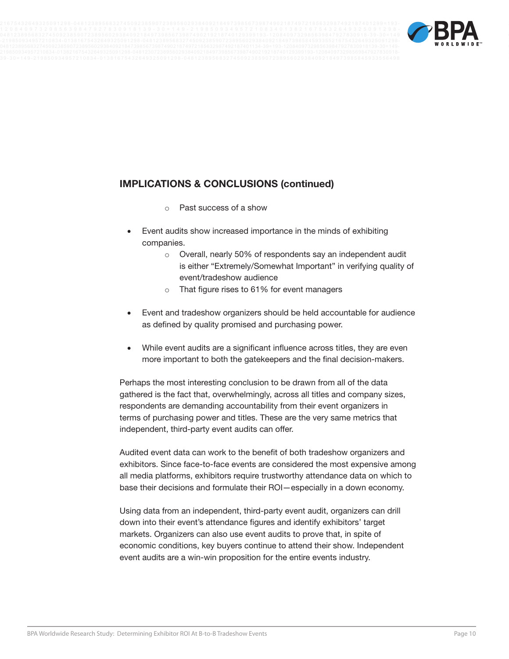

## **IMPLICATIONS & CONCLUSIONS (continued)**

- Past success of a show
- Event audits show increased importance in the minds of exhibiting companies.
	- o Overall, nearly 50% of respondents say an independent audit is either "Extremely/Somewhat Important" in verifying quality of event/tradeshow audience
	- o That figure rises to 61% for event managers
- Event and tradeshow organizers should be held accountable for audience as defined by quality promised and purchasing power.
- While event audits are a significant influence across titles, they are even more important to both the gatekeepers and the final decision-makers.

Perhaps the most interesting conclusion to be drawn from all of the data gathered is the fact that, overwhelmingly, across all titles and company sizes, respondents are demanding accountability from their event organizers in terms of purchasing power and titles. These are the very same metrics that independent, third-party event audits can offer.

Audited event data can work to the benefit of both tradeshow organizers and exhibitors. Since face-to-face events are considered the most expensive among all media platforms, exhibitors require trustworthy attendance data on which to base their decisions and formulate their ROI—especially in a down economy.

Using data from an independent, third-party event audit, organizers can drill down into their event's attendance figures and identify exhibitors' target markets. Organizers can also use event audits to prove that, in spite of economic conditions, key buyers continue to attend their show. Independent event audits are a win-win proposition for the entire events industry.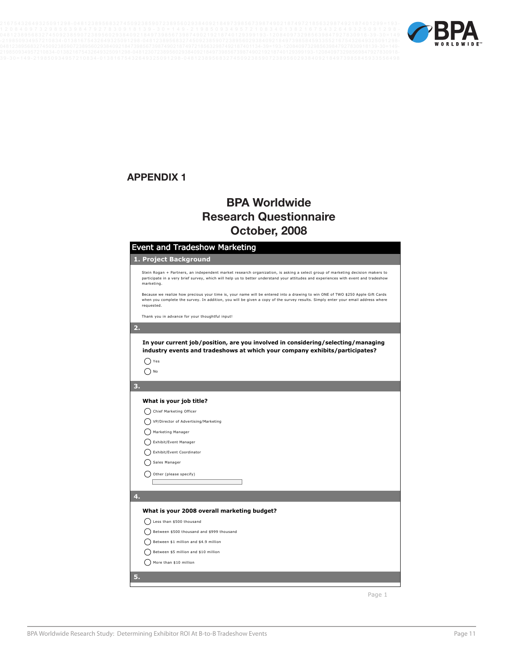



## **APPENDIX 1**

# **BPA Worldwide Research Questionnaire October, 2008**

| Event and Tradeshow Marketing                                                                                                                                                                                                                                                      |
|------------------------------------------------------------------------------------------------------------------------------------------------------------------------------------------------------------------------------------------------------------------------------------|
| 1. Project Background                                                                                                                                                                                                                                                              |
| Stein Rogan + Partners, an independent market research organization, is asking a select group of marketing decision makers to<br>participate in a very brief survey, which will help us to better understand your attitudes and experiences with event and tradeshow<br>marketing. |
| Because we realize how precious your time is, your name will be entered into a drawing to win ONE of TWO \$250 Apple Gift Cards<br>when you complete the survey. In addition, you will be given a copy of the survey results. Simply enter your email address where<br>requested.  |
| Thank you in advance for your thoughtful input!                                                                                                                                                                                                                                    |
| 2.                                                                                                                                                                                                                                                                                 |
| In your current job/position, are you involved in considering/selecting/managing<br>industry events and tradeshows at which your company exhibits/participates?<br>Yes<br>No                                                                                                       |
| 3.                                                                                                                                                                                                                                                                                 |
|                                                                                                                                                                                                                                                                                    |
| What is your job title?                                                                                                                                                                                                                                                            |
| Chief Marketing Officer                                                                                                                                                                                                                                                            |
| VP/Director of Advertising/Marketing                                                                                                                                                                                                                                               |
| Marketing Manager                                                                                                                                                                                                                                                                  |
| Exhibit/Event Manager<br>Exhibit/Event Coordinator                                                                                                                                                                                                                                 |
| Sales Manager                                                                                                                                                                                                                                                                      |
|                                                                                                                                                                                                                                                                                    |
| Other (please specify)                                                                                                                                                                                                                                                             |
|                                                                                                                                                                                                                                                                                    |
| 4.                                                                                                                                                                                                                                                                                 |
| What is your 2008 overall marketing budget?                                                                                                                                                                                                                                        |
| Less than \$500 thousand                                                                                                                                                                                                                                                           |
| Between \$500 thousand and \$999 thousand                                                                                                                                                                                                                                          |
| Between \$1 million and \$4.9 million                                                                                                                                                                                                                                              |
| Between \$5 million and \$10 million                                                                                                                                                                                                                                               |
| More than \$10 million                                                                                                                                                                                                                                                             |
| 5.                                                                                                                                                                                                                                                                                 |
|                                                                                                                                                                                                                                                                                    |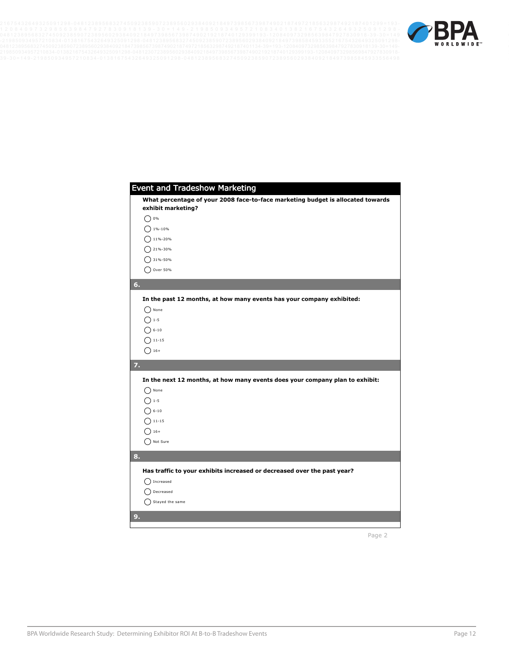

| <b>Event and Tradeshow Marketing</b>                                            |
|---------------------------------------------------------------------------------|
| What percentage of your 2008 face-to-face marketing budget is allocated towards |
| exhibit marketing?                                                              |
| $0\%$                                                                           |
| 1%-10%                                                                          |
| 11%-20%                                                                         |
| 21%-30%                                                                         |
| 31%-50%                                                                         |
| Over 50%                                                                        |
| 6.                                                                              |
| In the past 12 months, at how many events has your company exhibited:           |
| None                                                                            |
| $1 - 5$                                                                         |
| $6 - 10$                                                                        |
| $11 - 15$                                                                       |
| $16+$                                                                           |
| 7.                                                                              |
| In the next 12 months, at how many events does your company plan to exhibit:    |
| None                                                                            |
| $1 - 5$                                                                         |
| $6 - 10$                                                                        |
| $11 - 15$                                                                       |
| $16+$                                                                           |
| Not Sure                                                                        |
| 8.                                                                              |
|                                                                                 |
| Has traffic to your exhibits increased or decreased over the past year?         |
| Increased                                                                       |
| Decreased                                                                       |
| Stayed the same                                                                 |
| 9.                                                                              |
|                                                                                 |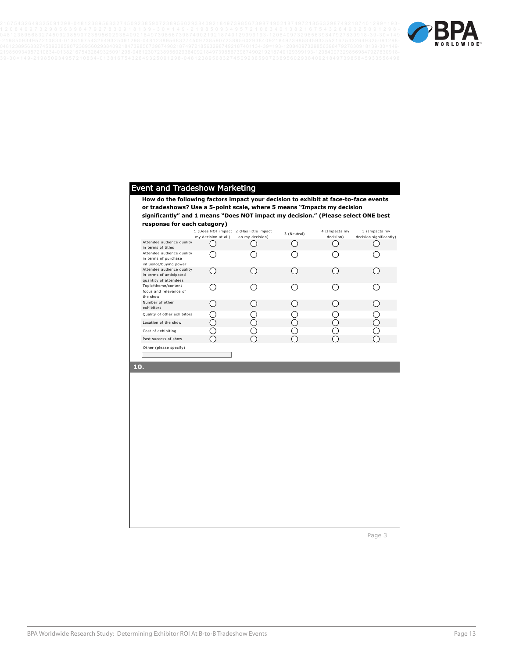

|                                                                                   |                     | or tradeshows? Use a 5-point scale, where 5 means "Impacts my decision |                                             |               |                         |
|-----------------------------------------------------------------------------------|---------------------|------------------------------------------------------------------------|---------------------------------------------|---------------|-------------------------|
| significantly" and 1 means "Does NOT impact my decision." (Please select ONE best |                     |                                                                        |                                             |               |                         |
| response for each category)                                                       |                     | 1 (Does NOT impact 2 (Has little impact                                |                                             | 4 (Impacts my | 5 (Impacts my           |
|                                                                                   | my decision at all) | on my decision)                                                        | 3 (Neutral)                                 | decision)     | decision significantly) |
| Attendee audience quality<br>in terms of titles                                   | . .                 |                                                                        | ( )                                         | ()            | ()                      |
| Attendee audience quality<br>in terms of purchase<br>influence/buying power       |                     |                                                                        |                                             |               |                         |
| Attendee audience quality<br>in terms of anticipated<br>quantity of attendees     | ()                  |                                                                        | ()                                          |               | $^{(+)}$                |
| Topic/theme/content<br>focus and relevance of<br>the show                         | 〔 〕                 |                                                                        | ( )                                         |               | ( )                     |
| Number of other<br>exhibitors                                                     | ( )                 |                                                                        | $\left(\begin{array}{c} \end{array}\right)$ |               | ∩                       |
| Quality of other exhibitors                                                       |                     |                                                                        |                                             |               | $\ddot{\phantom{0}}$    |
| Location of the show                                                              | ∩                   |                                                                        | ⌒                                           |               | ∩                       |
| Cost of exhibiting                                                                |                     |                                                                        |                                             |               | Э                       |
| Past success of show                                                              |                     |                                                                        |                                             |               |                         |
| Other (please specify)                                                            |                     |                                                                        |                                             |               |                         |
|                                                                                   |                     |                                                                        |                                             |               |                         |
|                                                                                   |                     |                                                                        |                                             |               |                         |
|                                                                                   |                     |                                                                        |                                             |               |                         |
|                                                                                   |                     |                                                                        |                                             |               |                         |
|                                                                                   |                     |                                                                        |                                             |               |                         |
|                                                                                   |                     |                                                                        |                                             |               |                         |
|                                                                                   |                     |                                                                        |                                             |               |                         |
|                                                                                   |                     |                                                                        |                                             |               |                         |
|                                                                                   |                     |                                                                        |                                             |               |                         |
|                                                                                   |                     |                                                                        |                                             |               |                         |
|                                                                                   |                     |                                                                        |                                             |               |                         |
|                                                                                   |                     |                                                                        |                                             |               |                         |
|                                                                                   |                     |                                                                        |                                             |               |                         |
|                                                                                   |                     |                                                                        |                                             |               |                         |
|                                                                                   |                     |                                                                        |                                             |               |                         |
|                                                                                   |                     |                                                                        |                                             |               |                         |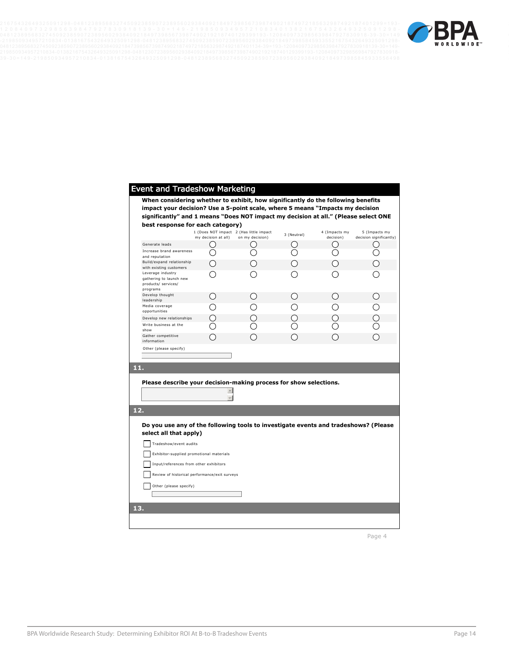

| significantly" and 1 means "Does NOT impact my decision at all." (Please select ONE<br>best response for each category) |                                                 |                 |               |               |                         |
|-------------------------------------------------------------------------------------------------------------------------|-------------------------------------------------|-----------------|---------------|---------------|-------------------------|
|                                                                                                                         | 1 (Does NOT impact 2 (Has little impact         |                 | 3 (Neutral)   | 4 (Impacts my | 5 (Impacts my           |
|                                                                                                                         | my decision at all)                             | on my decision) |               | decision)     | decision significantly) |
| Generate leads<br>Increase brand awareness                                                                              |                                                 |                 |               | Э             |                         |
| and reputation                                                                                                          |                                                 |                 |               |               |                         |
| Build/expand relationship<br>with existing customers                                                                    | $\left( \begin{array}{c} 1 \end{array} \right)$ |                 | $\rightarrow$ | ()            |                         |
| Leverage industry<br>gathering to launch new<br>products/ services/                                                     |                                                 |                 |               |               |                         |
| programs<br>Develop thought                                                                                             | ()                                              |                 | $\rightarrow$ | ()            |                         |
| leadership                                                                                                              |                                                 |                 |               |               |                         |
| Media coverage<br>opportunities                                                                                         |                                                 |                 |               |               |                         |
| Develop new relationships                                                                                               |                                                 |                 |               |               |                         |
| Write business at the<br>show                                                                                           |                                                 |                 |               |               |                         |
|                                                                                                                         |                                                 |                 |               |               |                         |
| Gather competitive<br>information                                                                                       |                                                 |                 |               |               |                         |
| Other (please specify)<br>11.                                                                                           |                                                 |                 |               |               |                         |
| Please describe your decision-making process for show selections.                                                       |                                                 |                 |               |               |                         |
|                                                                                                                         |                                                 |                 |               |               |                         |
| 12.<br>Do you use any of the following tools to investigate events and tradeshows? (Please                              |                                                 |                 |               |               |                         |
| select all that apply)                                                                                                  |                                                 |                 |               |               |                         |
| Tradeshow/event audits                                                                                                  |                                                 |                 |               |               |                         |
| Exhibitor-supplied promotional materials                                                                                |                                                 |                 |               |               |                         |
| Input/references from other exhibitors                                                                                  |                                                 |                 |               |               |                         |
| Review of historical performance/exit surveys                                                                           |                                                 |                 |               |               |                         |
|                                                                                                                         |                                                 |                 |               |               |                         |
| Other (please specify)                                                                                                  |                                                 |                 |               |               |                         |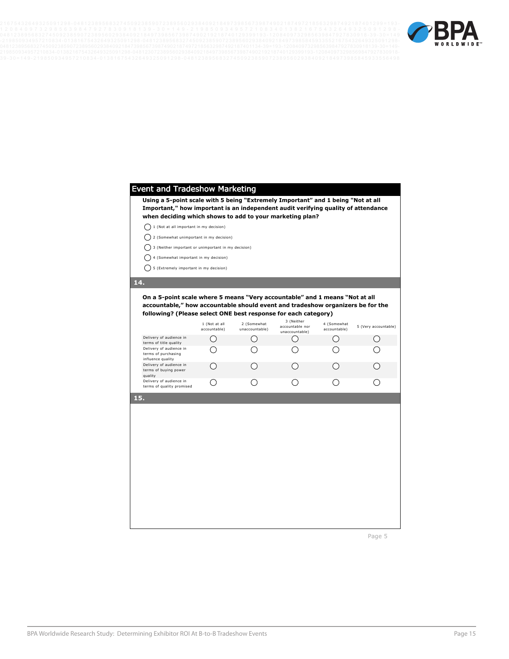

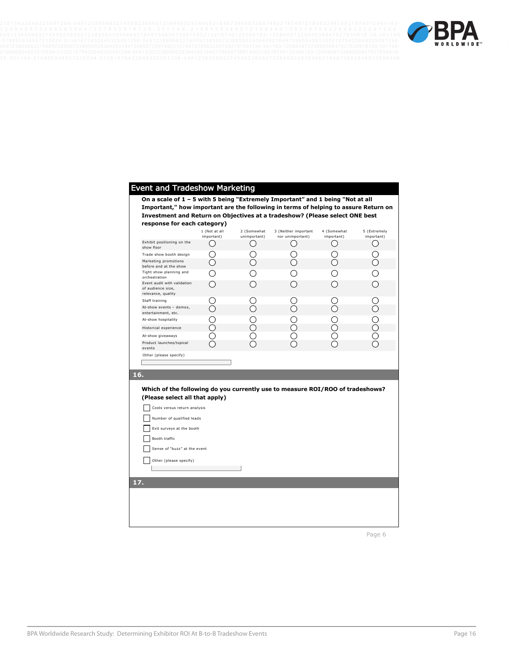

#### Event and Tradeshow Marketing

**On a scale of 1 – 5 with 5 being "Extremely Important" and 1 being "Not at all Important," how important are the following in terms of helping to assure Return on Investment and Return on Objectives at a tradeshow? (Please select ONE best response for each category)**

|                                                                                                                 | 1 (Not at all<br>important) | 2 (Somewhat<br>unimportant) | 3 (Neither important<br>nor unimportant) | 4 (Somewhat<br>important) | 5 (Extremely<br>important) |  |
|-----------------------------------------------------------------------------------------------------------------|-----------------------------|-----------------------------|------------------------------------------|---------------------------|----------------------------|--|
| Exhibit positioning on the<br>show floor                                                                        |                             |                             |                                          |                           |                            |  |
| Trade show booth design                                                                                         |                             |                             |                                          |                           | $\Box$                     |  |
| Marketing promotions<br>before and at the show                                                                  |                             |                             |                                          |                           | ⌒                          |  |
| Tight show planning and<br>orchestration                                                                        |                             |                             |                                          |                           |                            |  |
| Event audit with validation<br>of audience size,<br>relevance, quality                                          |                             |                             |                                          |                           |                            |  |
| Staff training                                                                                                  |                             |                             |                                          |                           |                            |  |
| At-show events - demos,<br>entertainment, etc.                                                                  |                             |                             |                                          |                           |                            |  |
| At-show hospitality                                                                                             |                             |                             |                                          |                           |                            |  |
| Historical experience                                                                                           |                             | $\ddot{\phantom{1}}$        | ( )                                      |                           | $\bigcirc$                 |  |
| At-show giveaways                                                                                               |                             |                             |                                          |                           |                            |  |
| Product launches/topical<br>events                                                                              |                             |                             |                                          |                           |                            |  |
| Other (please specify)                                                                                          |                             |                             |                                          |                           |                            |  |
|                                                                                                                 |                             |                             |                                          |                           |                            |  |
| 16.                                                                                                             |                             |                             |                                          |                           |                            |  |
|                                                                                                                 |                             |                             |                                          |                           |                            |  |
| Which of the following do you currently use to measure ROI/ROO of tradeshows?<br>(Please select all that apply) |                             |                             |                                          |                           |                            |  |
| Costs versus return analysis                                                                                    |                             |                             |                                          |                           |                            |  |
| Number of qualified leads                                                                                       |                             |                             |                                          |                           |                            |  |
| Exit surveys at the booth                                                                                       |                             |                             |                                          |                           |                            |  |
| Booth traffic                                                                                                   |                             |                             |                                          |                           |                            |  |
| Sense of "buzz" at the event                                                                                    |                             |                             |                                          |                           |                            |  |

**17.** 

Other (please specify)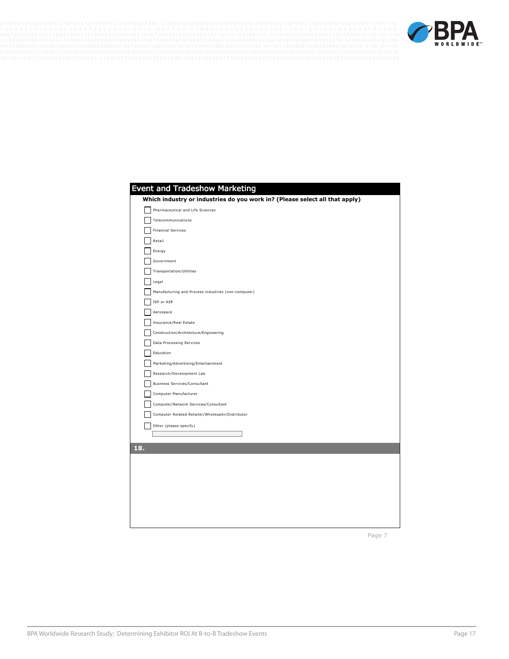Event and Tradeshow Marketing



| Event and Tradeshow Marketing                                               |
|-----------------------------------------------------------------------------|
| Which industry or industries do you work in? (Please select all that apply) |
| Pharmaceutical and Life Sciences                                            |
| Telecommunications                                                          |
| <b>Financial Services</b>                                                   |
| Retail                                                                      |
| Energy                                                                      |
| Government                                                                  |
| Transportation/Utilities                                                    |
| Legal                                                                       |
| Manufacturing and Process industries (non-computer)                         |
| ISP or ASP                                                                  |
| Aerospace                                                                   |
| Insurance/Real Estate                                                       |
| Construction/Architecture/Engineering                                       |
| Data Processing Services                                                    |
| Education                                                                   |
| Marketing/Advertising/Entertainment                                         |
| Research/Development Lab                                                    |
| <b>Business Services/Consultant</b>                                         |
| Computer Manufacturer                                                       |
| Computer/Network Services/Consultant                                        |
| Computer Related Retailer/Wholesaler/Distributor                            |
| Other (please specify)                                                      |
|                                                                             |
| 18.                                                                         |
|                                                                             |
|                                                                             |
|                                                                             |
|                                                                             |
|                                                                             |
|                                                                             |
|                                                                             |
|                                                                             |